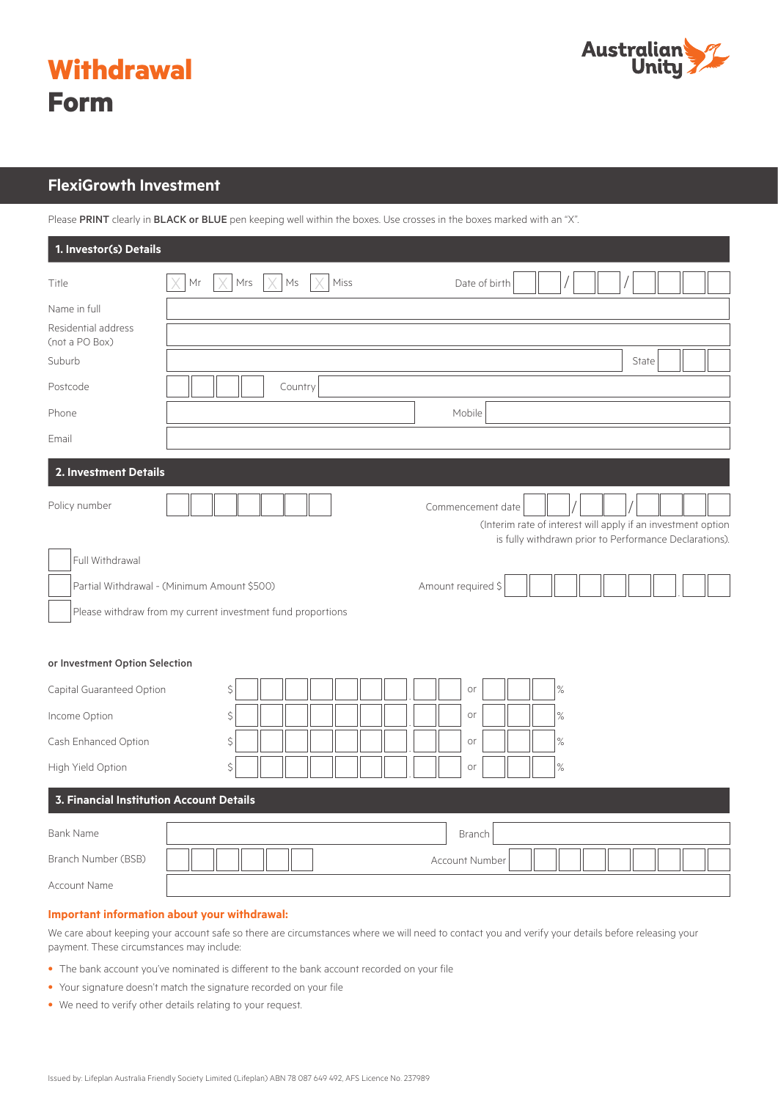



# **FlexiGrowth Investment**

Please PRINT clearly in BLACK or BLUE pen keeping well within the boxes. Use crosses in the boxes marked with an "X".

| 1. Investor(s) Details                                          |                                                                                                            |                                                                                                                                             |
|-----------------------------------------------------------------|------------------------------------------------------------------------------------------------------------|---------------------------------------------------------------------------------------------------------------------------------------------|
| Title                                                           | Mrs<br>$\mathsf{Ms}$<br>Miss<br>Mr                                                                         | Date of birth                                                                                                                               |
| Name in full<br>Residential address<br>(not a PO Box)<br>Suburb |                                                                                                            | State                                                                                                                                       |
| Postcode                                                        | Country                                                                                                    |                                                                                                                                             |
| Phone                                                           |                                                                                                            | Mobile                                                                                                                                      |
| Email                                                           |                                                                                                            |                                                                                                                                             |
| 2. Investment Details                                           |                                                                                                            |                                                                                                                                             |
| Policy number<br>Full Withdrawal                                |                                                                                                            | Commencement date<br>(Interim rate of interest will apply if an investment option<br>is fully withdrawn prior to Performance Declarations). |
|                                                                 | Partial Withdrawal - (Minimum Amount \$500)<br>Please withdraw from my current investment fund proportions | Amount required \$                                                                                                                          |
| or Investment Option Selection                                  |                                                                                                            |                                                                                                                                             |
| Capital Guaranteed Option                                       | \$                                                                                                         | $\%$<br>or                                                                                                                                  |
| Income Option                                                   | \$                                                                                                         | $\%$<br>or                                                                                                                                  |
| Cash Enhanced Option                                            | \$                                                                                                         | or<br>$\%$                                                                                                                                  |
| High Yield Option                                               | \$                                                                                                         | $\%$<br>or                                                                                                                                  |
| 3. Financial Institution Account Details                        |                                                                                                            |                                                                                                                                             |
| <b>Bank Name</b>                                                |                                                                                                            | Branch                                                                                                                                      |
| Branch Number (BSB)                                             |                                                                                                            | Account Number                                                                                                                              |
| Account Name                                                    |                                                                                                            |                                                                                                                                             |

### **Important information about your withdrawal:**

We care about keeping your account safe so there are circumstances where we will need to contact you and verify your details before releasing your payment. These circumstances may include:

- The bank account you've nominated is different to the bank account recorded on your file
- Your signature doesn't match the signature recorded on your file
- We need to verify other details relating to your request.